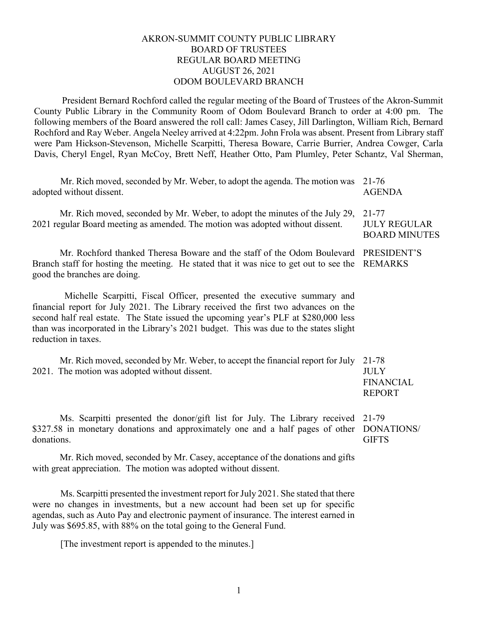#### AKRON-SUMMIT COUNTY PUBLIC LIBRARY BOARD OF TRUSTEES REGULAR BOARD MEETING AUGUST 26, 2021 ODOM BOULEVARD BRANCH

President Bernard Rochford called the regular meeting of the Board of Trustees of the Akron-Summit County Public Library in the Community Room of Odom Boulevard Branch to order at 4:00 pm. The following members of the Board answered the roll call: James Casey, Jill Darlington, William Rich, Bernard Rochford and Ray Weber. Angela Neeley arrived at 4:22pm. John Frola was absent. Present from Library staff were Pam Hickson-Stevenson, Michelle Scarpitti, Theresa Boware, Carrie Burrier, Andrea Cowger, Carla Davis, Cheryl Engel, Ryan McCoy, Brett Neff, Heather Otto, Pam Plumley, Peter Schantz, Val Sherman,

| Mr. Rich moved, seconded by Mr. Weber, to adopt the agenda. The motion was<br>adopted without dissent.                                                                                                                                                                                                                                                               | 21-76<br><b>AGENDA</b>                                    |
|----------------------------------------------------------------------------------------------------------------------------------------------------------------------------------------------------------------------------------------------------------------------------------------------------------------------------------------------------------------------|-----------------------------------------------------------|
| Mr. Rich moved, seconded by Mr. Weber, to adopt the minutes of the July 29,<br>2021 regular Board meeting as amended. The motion was adopted without dissent.                                                                                                                                                                                                        | $21 - 77$<br><b>JULY REGULAR</b><br><b>BOARD MINUTES</b>  |
| Mr. Rochford thanked Theresa Boware and the staff of the Odom Boulevard<br>Branch staff for hosting the meeting. He stated that it was nice to get out to see the<br>good the branches are doing.                                                                                                                                                                    | PRESIDENT'S<br><b>REMARKS</b>                             |
| Michelle Scarpitti, Fiscal Officer, presented the executive summary and<br>financial report for July 2021. The Library received the first two advances on the<br>second half real estate. The State issued the upcoming year's PLF at \$280,000 less<br>than was incorporated in the Library's 2021 budget. This was due to the states slight<br>reduction in taxes. |                                                           |
| Mr. Rich moved, seconded by Mr. Weber, to accept the financial report for July<br>2021. The motion was adopted without dissent.                                                                                                                                                                                                                                      | 21-78<br><b>JULY</b><br><b>FINANCIAL</b><br><b>REPORT</b> |
| Ms. Scarpitti presented the donor/gift list for July. The Library received<br>\$327.58 in monetary donations and approximately one and a half pages of other<br>donations.                                                                                                                                                                                           | 21-79<br>DONATIONS/<br><b>GIFTS</b>                       |

Mr. Rich moved, seconded by Mr. Casey, acceptance of the donations and gifts with great appreciation. The motion was adopted without dissent.

Ms. Scarpitti presented the investment report for July 2021. She stated that there were no changes in investments, but a new account had been set up for specific agendas, such as Auto Pay and electronic payment of insurance. The interest earned in July was \$695.85, with 88% on the total going to the General Fund.

[The investment report is appended to the minutes.]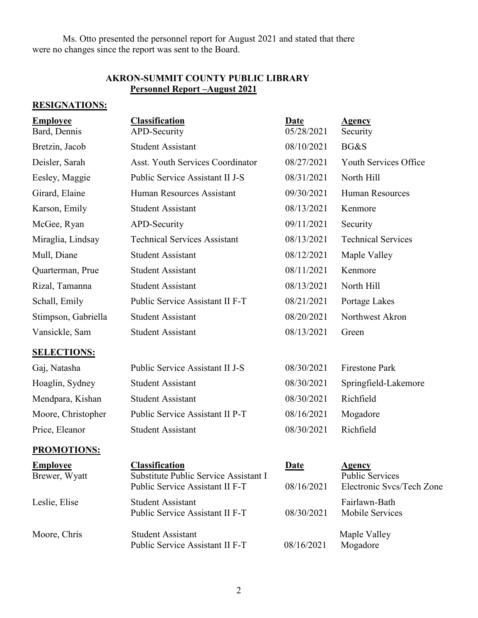Ms. Otto presented the personnel report for August 2021 and stated that there were no changes since the report was sent to the Board.

# **AKRON-SUMMIT COUNTY PUBLIC LIBRARY Personnel Report –August 2021**

# **RESIGNATIONS:**

| <b>Employee</b><br>Bard, Dennis  | <b>Classification</b><br>APD-Security                                                             | <b>Date</b><br>05/28/2021 | <b>Agency</b><br>Security                                            |
|----------------------------------|---------------------------------------------------------------------------------------------------|---------------------------|----------------------------------------------------------------------|
| Bretzin, Jacob                   | <b>Student Assistant</b>                                                                          | 08/10/2021                | BG&S                                                                 |
| Deisler, Sarah                   | <b>Asst. Youth Services Coordinator</b>                                                           | 08/27/2021                | Youth Services Office                                                |
| Eesley, Maggie                   | Public Service Assistant II J-S                                                                   | 08/31/2021                | North Hill                                                           |
| Girard, Elaine                   | Human Resources Assistant                                                                         | 09/30/2021                | <b>Human Resources</b>                                               |
| Karson, Emily                    | <b>Student Assistant</b>                                                                          | 08/13/2021                | Kenmore                                                              |
| McGee, Ryan                      | APD-Security                                                                                      | 09/11/2021                | Security                                                             |
| Miraglia, Lindsay                | <b>Technical Services Assistant</b>                                                               | 08/13/2021                | <b>Technical Services</b>                                            |
| Mull, Diane                      | <b>Student Assistant</b>                                                                          | 08/12/2021                | Maple Valley                                                         |
| Quarterman, Prue                 | <b>Student Assistant</b>                                                                          | 08/11/2021                | Kenmore                                                              |
| Rizal, Tamanna                   | <b>Student Assistant</b>                                                                          | 08/13/2021                | North Hill                                                           |
| Schall, Emily                    | Public Service Assistant II F-T                                                                   | 08/21/2021                | Portage Lakes                                                        |
| Stimpson, Gabriella              | <b>Student Assistant</b>                                                                          | 08/20/2021                | Northwest Akron                                                      |
| Vansickle, Sam                   | <b>Student Assistant</b>                                                                          | 08/13/2021                | Green                                                                |
| <b>SELECTIONS:</b>               |                                                                                                   |                           |                                                                      |
| Gaj, Natasha                     | Public Service Assistant II J-S                                                                   | 08/30/2021                | <b>Firestone Park</b>                                                |
| Hoaglin, Sydney                  | <b>Student Assistant</b>                                                                          | 08/30/2021                | Springfield-Lakemore                                                 |
| Mendpara, Kishan                 | <b>Student Assistant</b>                                                                          | 08/30/2021                | Richfield                                                            |
| Moore, Christopher               | Public Service Assistant II P-T                                                                   | 08/16/2021                | Mogadore                                                             |
| Price, Eleanor                   | <b>Student Assistant</b>                                                                          | 08/30/2021                | Richfield                                                            |
| <b>PROMOTIONS:</b>               |                                                                                                   |                           |                                                                      |
| <u>Employee</u><br>Brewer, Wyatt | <b>Classification</b><br>Substitute Public Service Assistant I<br>Public Service Assistant II F-T | <b>Date</b><br>08/16/2021 | <b>Agency</b><br><b>Public Services</b><br>Electronic Svcs/Tech Zone |
| Leslie, Elise                    | <b>Student Assistant</b><br>Public Service Assistant II F-T                                       | 08/30/2021                | Fairlawn-Bath<br>Mobile Services                                     |
| Moore, Chris                     | <b>Student Assistant</b><br>Public Service Assistant II F-T                                       | 08/16/2021                | Maple Valley<br>Mogadore                                             |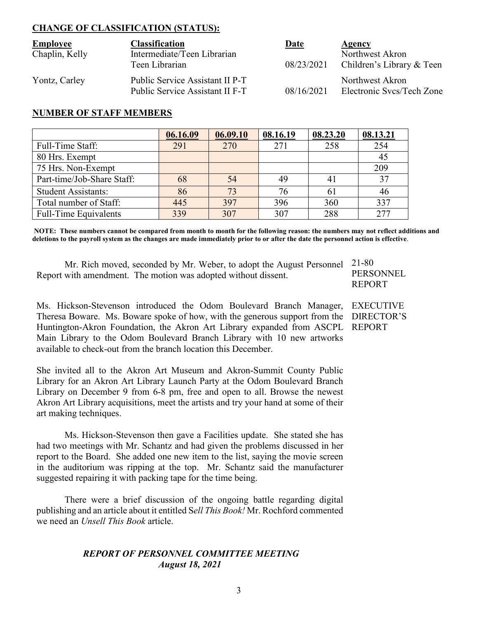# **CHANGE OF CLASSIFICATION (STATUS):**

| <b>Employee</b> | <b>Classification</b>                                              | Date       | Agency                                       |
|-----------------|--------------------------------------------------------------------|------------|----------------------------------------------|
| Chaplin, Kelly  | Intermediate/Teen Librarian<br>Teen Librarian                      | 08/23/2021 | Northwest Akron<br>Children's Library & Teen |
| Yontz, Carley   | Public Service Assistant II P-T<br>Public Service Assistant II F-T | 08/16/2021 | Northwest Akron<br>Electronic Svcs/Tech Zone |

## **NUMBER OF STAFF MEMBERS**

|                              | 06.16.09 | 06.09.10 | 08.16.19 | 08.23.20 | 08.13.21 |
|------------------------------|----------|----------|----------|----------|----------|
| Full-Time Staff:             | 291      | 270      |          | 258      | 254      |
| 80 Hrs. Exempt               |          |          |          |          |          |
| 75 Hrs. Non-Exempt           |          |          |          |          | 209      |
| Part-time/Job-Share Staff:   | 68       | 54       | 49       |          | 37       |
| <b>Student Assistants:</b>   | 86       | 73       | 76       |          | 46       |
| Total number of Staff:       | 445      | 397      | 396      | 360      | 337      |
| <b>Full-Time Equivalents</b> | 339      | 307      | 307      | 288      |          |

**NOTE: These numbers cannot be compared from month to month for the following reason: the numbers may not reflect additions and deletions to the payroll system as the changes are made immediately prior to or after the date the personnel action is effective**.

Mr. Rich moved, seconded by Mr. Weber, to adopt the August Personnel 21-80 Report with amendment. The motion was adopted without dissent.

**PERSONNEL** REPORT

Ms. Hickson-Stevenson introduced the Odom Boulevard Branch Manager, EXECUTIVE Theresa Boware. Ms. Boware spoke of how, with the generous support from the DIRECTOR'S Huntington-Akron Foundation, the Akron Art Library expanded from ASCPL REPORTMain Library to the Odom Boulevard Branch Library with 10 new artworks available to check-out from the branch location this December.

She invited all to the Akron Art Museum and Akron-Summit County Public Library for an Akron Art Library Launch Party at the Odom Boulevard Branch Library on December 9 from 6-8 pm, free and open to all. Browse the newest Akron Art Library acquisitions, meet the artists and try your hand at some of their art making techniques.

Ms. Hickson-Stevenson then gave a Facilities update. She stated she has had two meetings with Mr. Schantz and had given the problems discussed in her report to the Board. She added one new item to the list, saying the movie screen in the auditorium was ripping at the top. Mr. Schantz said the manufacturer suggested repairing it with packing tape for the time being.

There were a brief discussion of the ongoing battle regarding digital publishing and an article about it entitled S*ell This Book!* Mr. Rochford commented we need an *Unsell This Book* article.

# *REPORT OF PERSONNEL COMMITTEE MEETING August 18, 2021*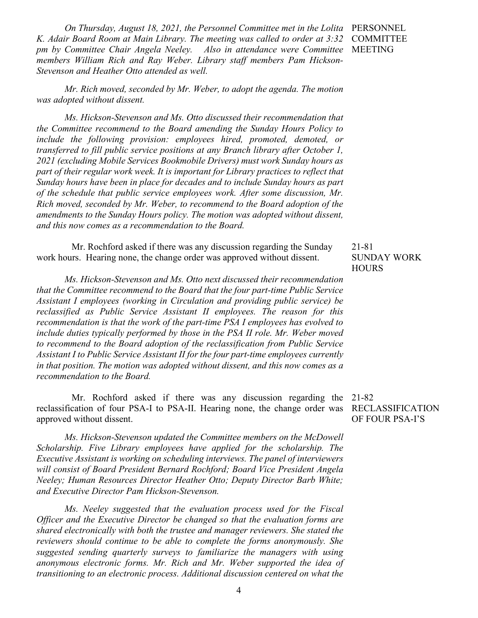*On Thursday, August 18, 2021, the Personnel Committee met in the Lolita*  PERSONNEL *K. Adair Board Room at Main Library. The meeting was called to order at 3:32 pm by Committee Chair Angela Neeley. Also in attendance were Committee members William Rich and Ray Weber. Library staff members Pam Hickson-Stevenson and Heather Otto attended as well.*

*Mr. Rich moved, seconded by Mr. Weber, to adopt the agenda. The motion was adopted without dissent.*

*Ms. Hickson-Stevenson and Ms. Otto discussed their recommendation that the Committee recommend to the Board amending the Sunday Hours Policy to include the following provision: employees hired, promoted, demoted, or transferred to fill public service positions at any Branch library after October 1, 2021 (excluding Mobile Services Bookmobile Drivers) must work Sunday hours as part of their regular work week. It is important for Library practices to reflect that Sunday hours have been in place for decades and to include Sunday hours as part of the schedule that public service employees work. After some discussion, Mr. Rich moved, seconded by Mr. Weber, to recommend to the Board adoption of the amendments to the Sunday Hours policy. The motion was adopted without dissent, and this now comes as a recommendation to the Board.*

 Mr. Rochford asked if there was any discussion regarding the Sunday work hours. Hearing none, the change order was approved without dissent.

*Ms. Hickson-Stevenson and Ms. Otto next discussed their recommendation that the Committee recommend to the Board that the four part-time Public Service Assistant I employees (working in Circulation and providing public service) be reclassified as Public Service Assistant II employees. The reason for this recommendation is that the work of the part-time PSA I employees has evolved to include duties typically performed by those in the PSA II role. Mr. Weber moved to recommend to the Board adoption of the reclassification from Public Service Assistant I to Public Service Assistant II for the four part-time employees currently in that position. The motion was adopted without dissent, and this now comes as a recommendation to the Board.*

 Mr. Rochford asked if there was any discussion regarding the reclassification of four PSA-I to PSA-II. Hearing none, the change order was RECLASSIFICATION approved without dissent.

*Ms. Hickson-Stevenson updated the Committee members on the McDowell Scholarship. Five Library employees have applied for the scholarship. The Executive Assistant is working on scheduling interviews. The panel of interviewers will consist of Board President Bernard Rochford; Board Vice President Angela Neeley; Human Resources Director Heather Otto; Deputy Director Barb White; and Executive Director Pam Hickson-Stevenson.*

*Ms. Neeley suggested that the evaluation process used for the Fiscal Officer and the Executive Director be changed so that the evaluation forms are shared electronically with both the trustee and manager reviewers. She stated the reviewers should continue to be able to complete the forms anonymously. She suggested sending quarterly surveys to familiarize the managers with using anonymous electronic forms. Mr. Rich and Mr. Weber supported the idea of transitioning to an electronic process. Additional discussion centered on what the* 

COMMITTEE MEETING

# 21-81 SUNDAY WORK **HOURS**

21-82 OF FOUR PSA-I'S